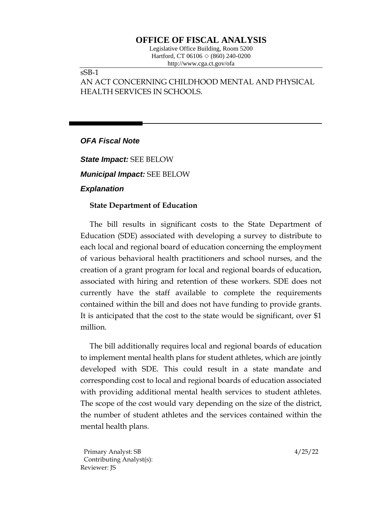# **OFFICE OF FISCAL ANALYSIS**

Legislative Office Building, Room 5200 Hartford, CT 06106  $\Diamond$  (860) 240-0200 http://www.cga.ct.gov/ofa

sSB-1

AN ACT CONCERNING CHILDHOOD MENTAL AND PHYSICAL HEALTH SERVICES IN SCHOOLS.

### *OFA Fiscal Note*

*State Impact:* SEE BELOW *Municipal Impact:* SEE BELOW *Explanation*

### **State Department of Education**

The bill results in significant costs to the State Department of Education (SDE) associated with developing a survey to distribute to each local and regional board of education concerning the employment of various behavioral health practitioners and school nurses, and the creation of a grant program for local and regional boards of education, associated with hiring and retention of these workers. SDE does not currently have the staff available to complete the requirements contained within the bill and does not have funding to provide grants. It is anticipated that the cost to the state would be significant, over \$1 million.

The bill additionally requires local and regional boards of education to implement mental health plans for student athletes, which are jointly developed with SDE. This could result in a state mandate and corresponding cost to local and regional boards of education associated with providing additional mental health services to student athletes. The scope of the cost would vary depending on the size of the district, the number of student athletes and the services contained within the mental health plans.

Primary Analyst: SB 4/25/22 Contributing Analyst(s): Reviewer: JS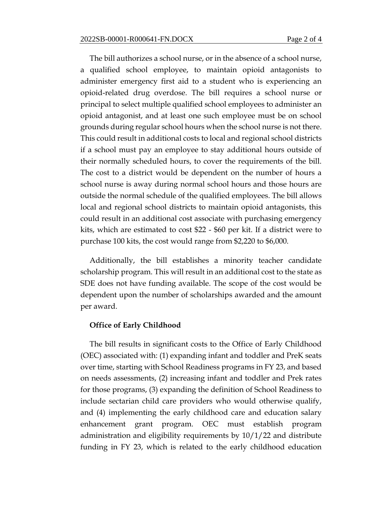The bill authorizes a school nurse, or in the absence of a school nurse, a qualified school employee, to maintain opioid antagonists to administer emergency first aid to a student who is experiencing an opioid-related drug overdose. The bill requires a school nurse or principal to select multiple qualified school employees to administer an opioid antagonist, and at least one such employee must be on school grounds during regular school hours when the school nurse is not there. This could result in additional costs to local and regional school districts if a school must pay an employee to stay additional hours outside of their normally scheduled hours, to cover the requirements of the bill. The cost to a district would be dependent on the number of hours a school nurse is away during normal school hours and those hours are outside the normal schedule of the qualified employees. The bill allows local and regional school districts to maintain opioid antagonists, this could result in an additional cost associate with purchasing emergency kits, which are estimated to cost \$22 - \$60 per kit. If a district were to purchase 100 kits, the cost would range from \$2,220 to \$6,000.

Additionally, the bill establishes a minority teacher candidate scholarship program. This will result in an additional cost to the state as SDE does not have funding available. The scope of the cost would be dependent upon the number of scholarships awarded and the amount per award.

#### **Office of Early Childhood**

The bill results in significant costs to the Office of Early Childhood (OEC) associated with: (1) expanding infant and toddler and PreK seats over time, starting with School Readiness programs in FY 23, and based on needs assessments, (2) increasing infant and toddler and Prek rates for those programs, (3) expanding the definition of School Readiness to include sectarian child care providers who would otherwise qualify, and (4) implementing the early childhood care and education salary enhancement grant program. OEC must establish program administration and eligibility requirements by 10/1/22 and distribute funding in FY 23, which is related to the early childhood education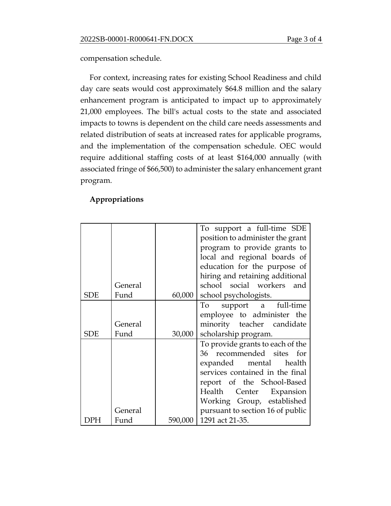compensation schedule.

For context, increasing rates for existing School Readiness and child day care seats would cost approximately \$64.8 million and the salary enhancement program is anticipated to impact up to approximately 21,000 employees. The bill's actual costs to the state and associated impacts to towns is dependent on the child care needs assessments and related distribution of seats at increased rates for applicable programs, and the implementation of the compensation schedule. OEC would require additional staffing costs of at least \$164,000 annually (with associated fringe of \$66,500) to administer the salary enhancement grant program.

|            |         |        | To support a full-time SDE<br>position to administer the grant<br>program to provide grants to<br>local and regional boards of<br>education for the purpose of |
|------------|---------|--------|----------------------------------------------------------------------------------------------------------------------------------------------------------------|
|            |         |        | hiring and retaining additional                                                                                                                                |
|            | General |        | school social workers and                                                                                                                                      |
| <b>SDE</b> | Fund    | 60,000 | school psychologists.                                                                                                                                          |
|            |         |        | support a full-time<br>To                                                                                                                                      |
|            |         |        | employee to administer the                                                                                                                                     |
|            | General |        | minority teacher candidate                                                                                                                                     |
| SDE        | Fund    | 30,000 | scholarship program.                                                                                                                                           |
|            |         |        | To provide grants to each of the                                                                                                                               |
|            |         |        | 36 recommended sites for                                                                                                                                       |
|            |         |        | expanded mental health                                                                                                                                         |
|            |         |        | services contained in the final                                                                                                                                |
|            |         |        | report of the School-Based                                                                                                                                     |
|            |         |        | Center Expansion<br>Health                                                                                                                                     |
|            |         |        | Working Group, established                                                                                                                                     |
|            | General |        | pursuant to section 16 of public                                                                                                                               |
| DPH        | Fund    |        | 590,000   1291 act 21-35.                                                                                                                                      |

## **Appropriations**